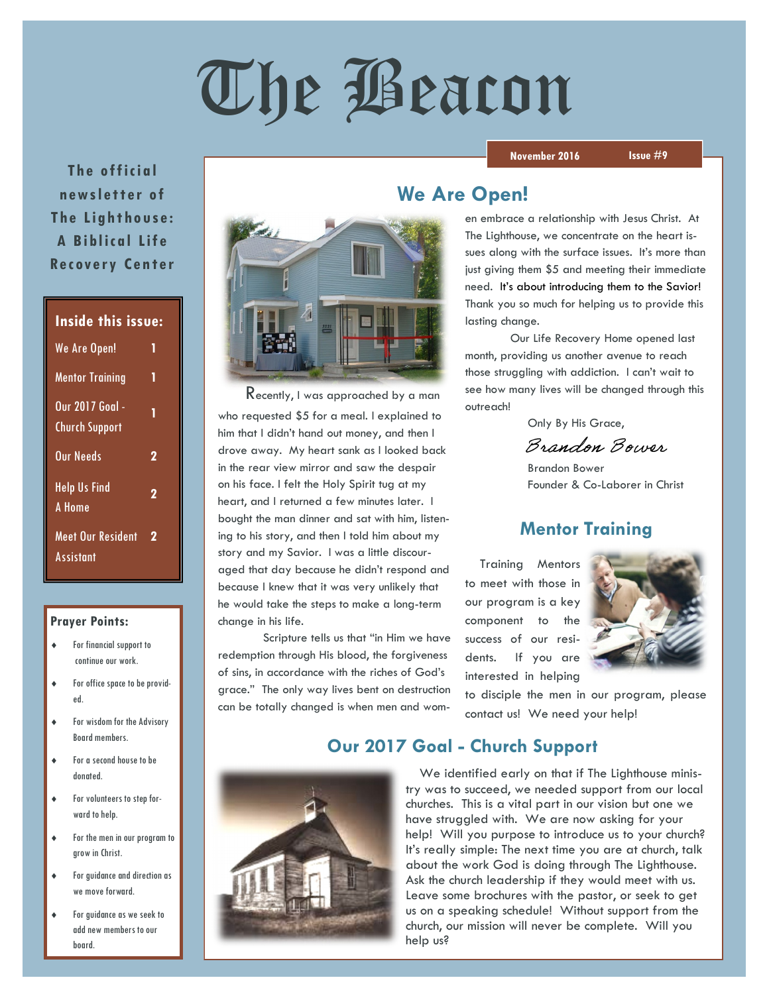# The Beacon

#### **November 2016 Issue #9**

**The official news le t te r of The Lighthouse: A Bi bl ic al Lif e Recovery Center** 

| <b>Inside this issue:</b>                 |   |
|-------------------------------------------|---|
| We Are Open!                              | 1 |
| <b>Mentor Training</b>                    | 1 |
| Our 2017 Goal -<br><u>Chu</u> rch Support | 1 |
| Our Needs                                 | 2 |
| <b>Help Us Find</b><br>A Home             | 2 |
| Meet Our Resident<br>Assistant            | 2 |

#### **Prayer Points:**

- For financial support to continue our work.
- For office space to be provided.
- For wisdom for the Advisory Board members.
- For a second house to be donated.
- For volunteers to step forward to help.
- For the men in our program to grow in Christ.
- For guidance and direction as we move forward.
- For guidance as we seek to add new members to our board.



 Recently, I was approached by a man who requested \$5 for a meal. I explained to him that I didn't hand out money, and then I drove away. My heart sank as I looked back in the rear view mirror and saw the despair on his face. I felt the Holy Spirit tug at my heart, and I returned a few minutes later. I bought the man dinner and sat with him, listening to his story, and then I told him about my story and my Savior. I was a little discouraged that day because he didn't respond and because I knew that it was very unlikely that he would take the steps to make a long-term change in his life.

Scripture tells us that "in Him we have redemption through His blood, the forgiveness of sins, in accordance with the riches of God's grace." The only way lives bent on destruction can be totally changed is when men and wom-

### **We Are Open!**

en embrace a relationship with Jesus Christ. At The Lighthouse, we concentrate on the heart issues along with the surface issues. It's more than just giving them \$5 and meeting their immediate need. It's about introducing them to the Savior! Thank you so much for helping us to provide this lasting change.

Our Life Recovery Home opened last month, providing us another avenue to reach those struggling with addiction. I can't wait to see how many lives will be changed through this outreach!

Only By His Grace,

Brandon Bower

 Brandon Bower Founder & Co-Laborer in Christ

#### **Mentor Training**

 Training Mentors to meet with those in our program is a key component to the success of our residents. If you are interested in helping



to disciple the men in our program, please contact us! We need your help!

#### **Our 2017 Goal - Church Support**



 We identified early on that if The Lighthouse ministry was to succeed, we needed support from our local churches. This is a vital part in our vision but one we have struggled with. We are now asking for your help! Will you purpose to introduce us to your church? It's really simple: The next time you are at church, talk about the work God is doing through The Lighthouse. Ask the church leadership if they would meet with us. Leave some brochures with the pastor, or seek to get us on a speaking schedule! Without support from the church, our mission will never be complete. Will you help us?